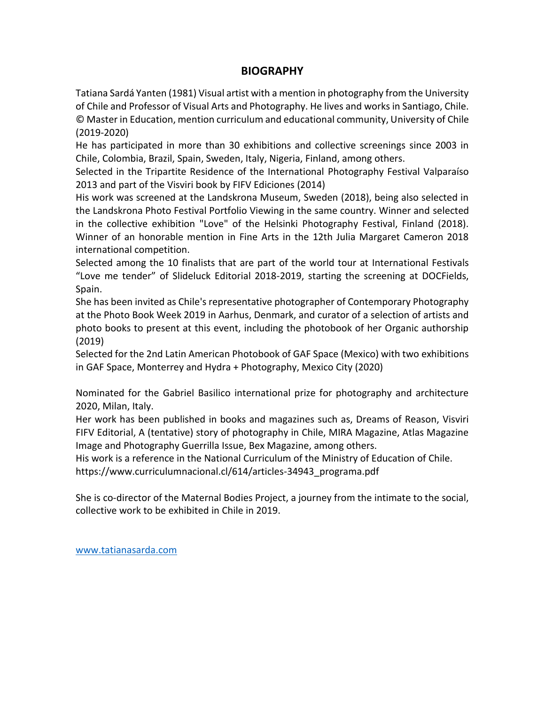## **BIOGRAPHY**

Tatiana Sardá Yanten (1981) Visual artist with a mention in photography from the University of Chile and Professor of Visual Arts and Photography. He lives and works in Santiago, Chile. © Master in Education, mention curriculum and educational community, University of Chile (2019-2020)

He has participated in more than 30 exhibitions and collective screenings since 2003 in Chile, Colombia, Brazil, Spain, Sweden, Italy, Nigeria, Finland, among others.

Selected in the Tripartite Residence of the International Photography Festival Valparaíso 2013 and part of the Visviri book by FIFV Ediciones (2014)

His work was screened at the Landskrona Museum, Sweden (2018), being also selected in the Landskrona Photo Festival Portfolio Viewing in the same country. Winner and selected in the collective exhibition "Love" of the Helsinki Photography Festival, Finland (2018). Winner of an honorable mention in Fine Arts in the 12th Julia Margaret Cameron 2018 international competition.

Selected among the 10 finalists that are part of the world tour at International Festivals "Love me tender" of Slideluck Editorial 2018-2019, starting the screening at DOCFields, Spain.

She has been invited as Chile's representative photographer of Contemporary Photography at the Photo Book Week 2019 in Aarhus, Denmark, and curator of a selection of artists and photo books to present at this event, including the photobook of her Organic authorship (2019)

Selected for the 2nd Latin American Photobook of GAF Space (Mexico) with two exhibitions in GAF Space, Monterrey and Hydra + Photography, Mexico City (2020)

Nominated for the Gabriel Basilico international prize for photography and architecture 2020, Milan, Italy.

Her work has been published in books and magazines such as, Dreams of Reason, Visviri FIFV Editorial, A (tentative) story of photography in Chile, MIRA Magazine, Atlas Magazine Image and Photography Guerrilla Issue, Bex Magazine, among others.

His work is a reference in the National Curriculum of the Ministry of Education of Chile. https://www.curriculumnacional.cl/614/articles-34943\_programa.pdf

She is co-director of the Maternal Bodies Project, a journey from the intimate to the social, collective work to be exhibited in Chile in 2019.

[www.tatianasarda.com](http://www.tatianasarda.com/)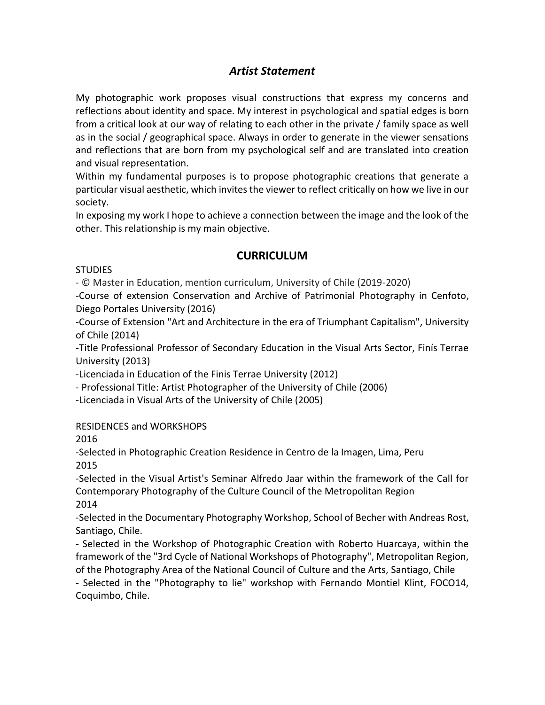# *Artist Statement*

My photographic work proposes visual constructions that express my concerns and reflections about identity and space. My interest in psychological and spatial edges is born from a critical look at our way of relating to each other in the private / family space as well as in the social / geographical space. Always in order to generate in the viewer sensations and reflections that are born from my psychological self and are translated into creation and visual representation.

Within my fundamental purposes is to propose photographic creations that generate a particular visual aesthetic, which invites the viewer to reflect critically on how we live in our society.

In exposing my work I hope to achieve a connection between the image and the look of the other. This relationship is my main objective.

## **CURRICULUM**

#### **STUDIES**

- © Master in Education, mention curriculum, University of Chile (2019-2020)

-Course of extension Conservation and Archive of Patrimonial Photography in Cenfoto, Diego Portales University (2016)

-Course of Extension "Art and Architecture in the era of Triumphant Capitalism", University of Chile (2014)

-Title Professional Professor of Secondary Education in the Visual Arts Sector, Finís Terrae University (2013)

-Licenciada in Education of the Finis Terrae University (2012)

- Professional Title: Artist Photographer of the University of Chile (2006)

-Licenciada in Visual Arts of the University of Chile (2005)

## RESIDENCES and WORKSHOPS

2016

-Selected in Photographic Creation Residence in Centro de la Imagen, Lima, Peru 2015

-Selected in the Visual Artist's Seminar Alfredo Jaar within the framework of the Call for Contemporary Photography of the Culture Council of the Metropolitan Region 2014

-Selected in the Documentary Photography Workshop, School of Becher with Andreas Rost, Santiago, Chile.

- Selected in the Workshop of Photographic Creation with Roberto Huarcaya, within the framework of the "3rd Cycle of National Workshops of Photography", Metropolitan Region, of the Photography Area of the National Council of Culture and the Arts, Santiago, Chile

- Selected in the "Photography to lie" workshop with Fernando Montiel Klint, FOCO14, Coquimbo, Chile.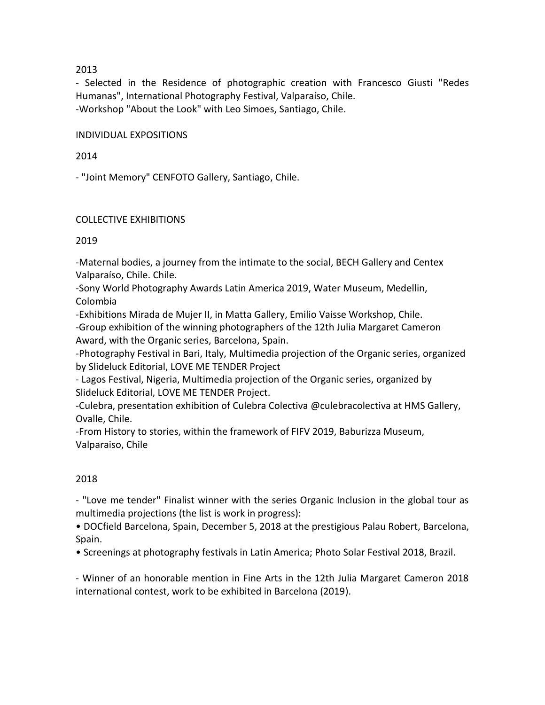#### 2013

- Selected in the Residence of photographic creation with Francesco Giusti "Redes Humanas", International Photography Festival, Valparaíso, Chile. -Workshop "About the Look" with Leo Simoes, Santiago, Chile.

#### INDIVIDUAL EXPOSITIONS

#### 2014

- "Joint Memory" CENFOTO Gallery, Santiago, Chile.

#### COLLECTIVE EXHIBITIONS

#### 2019

-Maternal bodies, a journey from the intimate to the social, BECH Gallery and Centex Valparaíso, Chile. Chile.

-Sony World Photography Awards Latin America 2019, Water Museum, Medellin, Colombia

-Exhibitions Mirada de Mujer II, in Matta Gallery, Emilio Vaisse Workshop, Chile.

-Group exhibition of the winning photographers of the 12th Julia Margaret Cameron Award, with the Organic series, Barcelona, Spain.

-Photography Festival in Bari, Italy, Multimedia projection of the Organic series, organized by Slideluck Editorial, LOVE ME TENDER Project

- Lagos Festival, Nigeria, Multimedia projection of the Organic series, organized by Slideluck Editorial, LOVE ME TENDER Project.

-Culebra, presentation exhibition of Culebra Colectiva @culebracolectiva at HMS Gallery, Ovalle, Chile.

-From History to stories, within the framework of FIFV 2019, Baburizza Museum, Valparaiso, Chile

## 2018

- "Love me tender" Finalist winner with the series Organic Inclusion in the global tour as multimedia projections (the list is work in progress):

• DOCfield Barcelona, Spain, December 5, 2018 at the prestigious Palau Robert, Barcelona, Spain.

• Screenings at photography festivals in Latin America; Photo Solar Festival 2018, Brazil.

- Winner of an honorable mention in Fine Arts in the 12th Julia Margaret Cameron 2018 international contest, work to be exhibited in Barcelona (2019).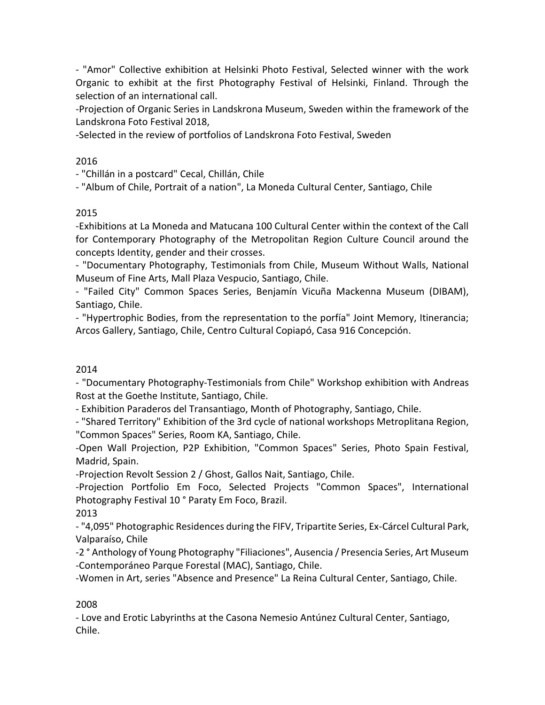- "Amor" Collective exhibition at Helsinki Photo Festival, Selected winner with the work Organic to exhibit at the first Photography Festival of Helsinki, Finland. Through the selection of an international call.

-Projection of Organic Series in Landskrona Museum, Sweden within the framework of the Landskrona Foto Festival 2018,

-Selected in the review of portfolios of Landskrona Foto Festival, Sweden

## 2016

- "Chillán in a postcard" Cecal, Chillán, Chile

- "Album of Chile, Portrait of a nation", La Moneda Cultural Center, Santiago, Chile

## 2015

-Exhibitions at La Moneda and Matucana 100 Cultural Center within the context of the Call for Contemporary Photography of the Metropolitan Region Culture Council around the concepts Identity, gender and their crosses.

- "Documentary Photography, Testimonials from Chile, Museum Without Walls, National Museum of Fine Arts, Mall Plaza Vespucio, Santiago, Chile.

- "Failed City" Common Spaces Series, Benjamín Vicuña Mackenna Museum (DIBAM), Santiago, Chile.

- "Hypertrophic Bodies, from the representation to the porfía" Joint Memory, Itinerancia; Arcos Gallery, Santiago, Chile, Centro Cultural Copiapó, Casa 916 Concepción.

## 2014

- "Documentary Photography-Testimonials from Chile" Workshop exhibition with Andreas Rost at the Goethe Institute, Santiago, Chile.

- Exhibition Paraderos del Transantiago, Month of Photography, Santiago, Chile.

- "Shared Territory" Exhibition of the 3rd cycle of national workshops Metroplitana Region, "Common Spaces" Series, Room KA, Santiago, Chile.

-Open Wall Projection, P2P Exhibition, "Common Spaces" Series, Photo Spain Festival, Madrid, Spain.

-Projection Revolt Session 2 / Ghost, Gallos Nait, Santiago, Chile.

-Projection Portfolio Em Foco, Selected Projects "Common Spaces", International Photography Festival 10 ° Paraty Em Foco, Brazil.

2013

- "4,095" Photographic Residences during the FIFV, Tripartite Series, Ex-Cárcel Cultural Park, Valparaíso, Chile

-2 ° Anthology of Young Photography "Filiaciones", Ausencia / Presencia Series, Art Museum -Contemporáneo Parque Forestal (MAC), Santiago, Chile.

-Women in Art, series "Absence and Presence" La Reina Cultural Center, Santiago, Chile.

## 2008

- Love and Erotic Labyrinths at the Casona Nemesio Antúnez Cultural Center, Santiago, Chile.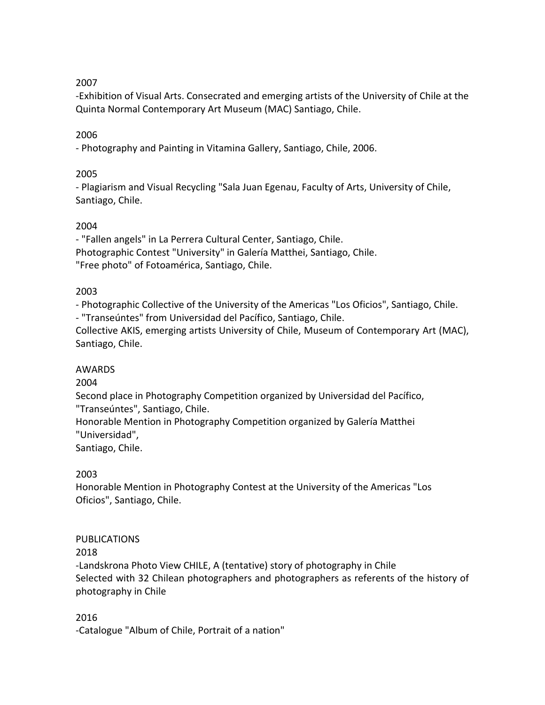## 2007

-Exhibition of Visual Arts. Consecrated and emerging artists of the University of Chile at the Quinta Normal Contemporary Art Museum (MAC) Santiago, Chile.

#### 2006

- Photography and Painting in Vitamina Gallery, Santiago, Chile, 2006.

#### 2005

- Plagiarism and Visual Recycling "Sala Juan Egenau, Faculty of Arts, University of Chile, Santiago, Chile.

#### 2004

- "Fallen angels" in La Perrera Cultural Center, Santiago, Chile. Photographic Contest "University" in Galería Matthei, Santiago, Chile. "Free photo" of Fotoamérica, Santiago, Chile.

#### 2003

- Photographic Collective of the University of the Americas "Los Oficios", Santiago, Chile.

- "Transeúntes" from Universidad del Pacífico, Santiago, Chile.

Collective AKIS, emerging artists University of Chile, Museum of Contemporary Art (MAC), Santiago, Chile.

## AWARDS

#### 2004

Second place in Photography Competition organized by Universidad del Pacífico, "Transeúntes", Santiago, Chile.

Honorable Mention in Photography Competition organized by Galería Matthei "Universidad",

Santiago, Chile.

## 2003

Honorable Mention in Photography Contest at the University of the Americas "Los Oficios", Santiago, Chile.

## PUBLICATIONS

## 2018

-Landskrona Photo View CHILE, A (tentative) story of photography in Chile Selected with 32 Chilean photographers and photographers as referents of the history of photography in Chile

#### 2016

-Catalogue "Album of Chile, Portrait of a nation"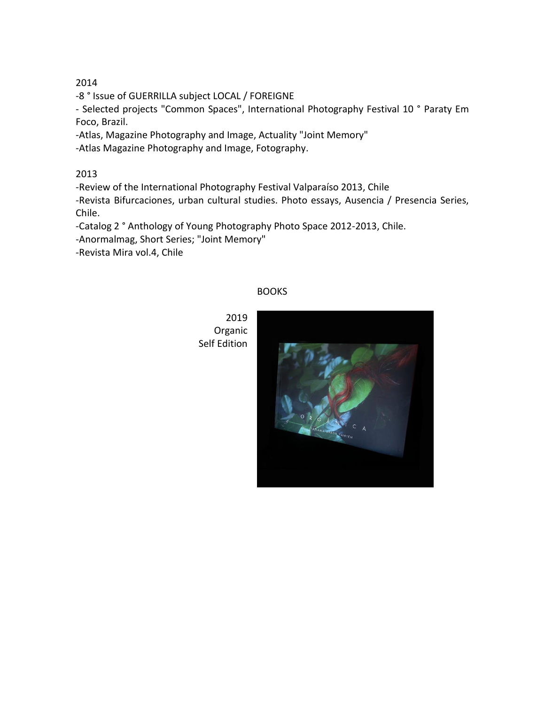#### 2014

-8 ° Issue of GUERRILLA subject LOCAL / FOREIGNE

- Selected projects "Common Spaces", International Photography Festival 10 ° Paraty Em Foco, Brazil.

-Atlas, Magazine Photography and Image, Actuality "Joint Memory"

-Atlas Magazine Photography and Image, Fotography.

2013

-Review of the International Photography Festival Valparaíso 2013, Chile -Revista Bifurcaciones, urban cultural studies. Photo essays, Ausencia / Presencia Series,

Chile.

-Catalog 2 ° Anthology of Young Photography Photo Space 2012-2013, Chile.

-Anormalmag, Short Series; "Joint Memory"

-Revista Mira vol.4, Chile

#### BOOKS

2019 Organic Self Edition

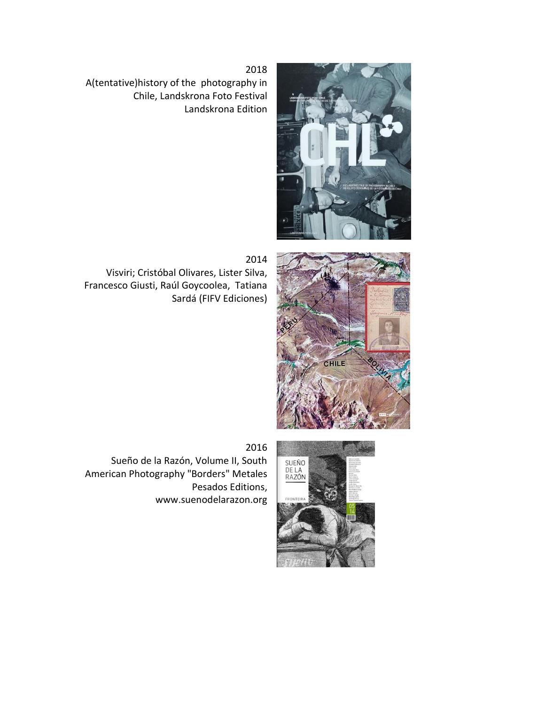

2018 A(tentative)history of the photography in Chile, Landskrona Foto Festival Landskrona Edition

2014

Visviri; Cristóbal Olivares, Lister Silva, Francesco Giusti, Raúl Goycoolea, Tatiana Sardá (FIFV Ediciones)